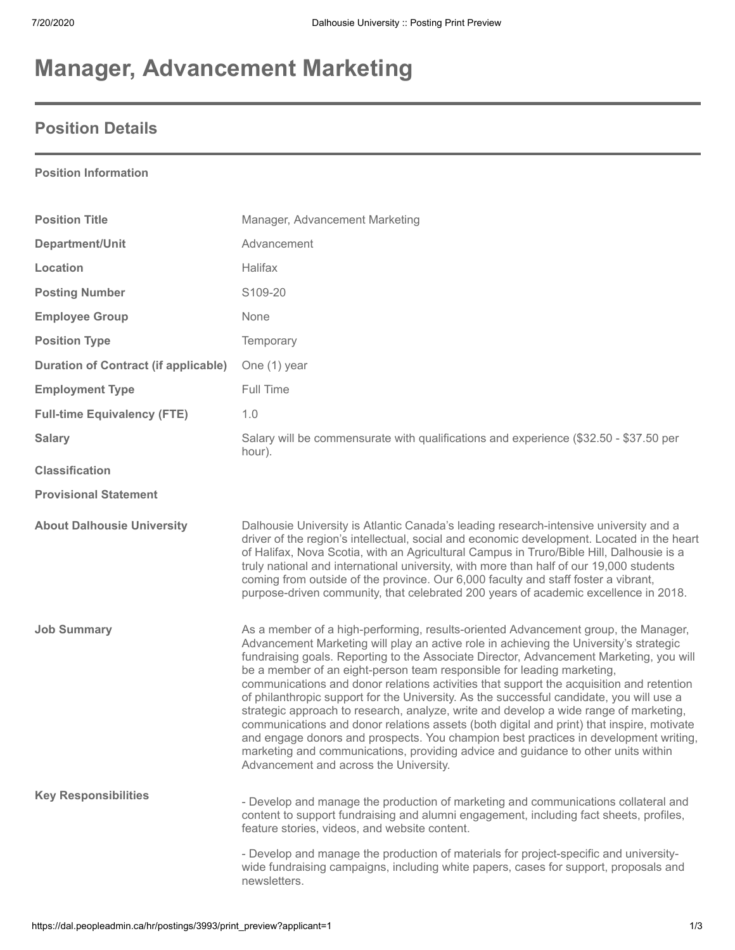# **Manager, Advancement Marketing**

# **Position Details**

### **Position Information**

| <b>Position Title</b>                       | Manager, Advancement Marketing                                                                                                                                                                                                                                                                                                                                                                                                                                                                                                                                                                                                                                                                                                                                                                                                                                                                                                                         |
|---------------------------------------------|--------------------------------------------------------------------------------------------------------------------------------------------------------------------------------------------------------------------------------------------------------------------------------------------------------------------------------------------------------------------------------------------------------------------------------------------------------------------------------------------------------------------------------------------------------------------------------------------------------------------------------------------------------------------------------------------------------------------------------------------------------------------------------------------------------------------------------------------------------------------------------------------------------------------------------------------------------|
| Department/Unit                             | Advancement                                                                                                                                                                                                                                                                                                                                                                                                                                                                                                                                                                                                                                                                                                                                                                                                                                                                                                                                            |
| Location                                    | Halifax                                                                                                                                                                                                                                                                                                                                                                                                                                                                                                                                                                                                                                                                                                                                                                                                                                                                                                                                                |
| <b>Posting Number</b>                       | S109-20                                                                                                                                                                                                                                                                                                                                                                                                                                                                                                                                                                                                                                                                                                                                                                                                                                                                                                                                                |
| <b>Employee Group</b>                       | None                                                                                                                                                                                                                                                                                                                                                                                                                                                                                                                                                                                                                                                                                                                                                                                                                                                                                                                                                   |
| <b>Position Type</b>                        | Temporary                                                                                                                                                                                                                                                                                                                                                                                                                                                                                                                                                                                                                                                                                                                                                                                                                                                                                                                                              |
| <b>Duration of Contract (if applicable)</b> | One (1) year                                                                                                                                                                                                                                                                                                                                                                                                                                                                                                                                                                                                                                                                                                                                                                                                                                                                                                                                           |
| <b>Employment Type</b>                      | Full Time                                                                                                                                                                                                                                                                                                                                                                                                                                                                                                                                                                                                                                                                                                                                                                                                                                                                                                                                              |
| <b>Full-time Equivalency (FTE)</b>          | 1.0                                                                                                                                                                                                                                                                                                                                                                                                                                                                                                                                                                                                                                                                                                                                                                                                                                                                                                                                                    |
| <b>Salary</b>                               | Salary will be commensurate with qualifications and experience (\$32.50 - \$37.50 per<br>hour).                                                                                                                                                                                                                                                                                                                                                                                                                                                                                                                                                                                                                                                                                                                                                                                                                                                        |
| <b>Classification</b>                       |                                                                                                                                                                                                                                                                                                                                                                                                                                                                                                                                                                                                                                                                                                                                                                                                                                                                                                                                                        |
| <b>Provisional Statement</b>                |                                                                                                                                                                                                                                                                                                                                                                                                                                                                                                                                                                                                                                                                                                                                                                                                                                                                                                                                                        |
| <b>About Dalhousie University</b>           | Dalhousie University is Atlantic Canada's leading research-intensive university and a<br>driver of the region's intellectual, social and economic development. Located in the heart<br>of Halifax, Nova Scotia, with an Agricultural Campus in Truro/Bible Hill, Dalhousie is a<br>truly national and international university, with more than half of our 19,000 students<br>coming from outside of the province. Our 6,000 faculty and staff foster a vibrant,<br>purpose-driven community, that celebrated 200 years of academic excellence in 2018.                                                                                                                                                                                                                                                                                                                                                                                                |
| <b>Job Summary</b>                          | As a member of a high-performing, results-oriented Advancement group, the Manager,<br>Advancement Marketing will play an active role in achieving the University's strategic<br>fundraising goals. Reporting to the Associate Director, Advancement Marketing, you will<br>be a member of an eight-person team responsible for leading marketing,<br>communications and donor relations activities that support the acquisition and retention<br>of philanthropic support for the University. As the successful candidate, you will use a<br>strategic approach to research, analyze, write and develop a wide range of marketing,<br>communications and donor relations assets (both digital and print) that inspire, motivate<br>and engage donors and prospects. You champion best practices in development writing,<br>marketing and communications, providing advice and guidance to other units within<br>Advancement and across the University. |
| <b>Key Responsibilities</b>                 | - Develop and manage the production of marketing and communications collateral and<br>content to support fundraising and alumni engagement, including fact sheets, profiles,<br>feature stories, videos, and website content.                                                                                                                                                                                                                                                                                                                                                                                                                                                                                                                                                                                                                                                                                                                          |
|                                             | - Develop and manage the production of materials for project-specific and university-<br>wide fundraising campaigns, including white papers, cases for support, proposals and<br>newsletters.                                                                                                                                                                                                                                                                                                                                                                                                                                                                                                                                                                                                                                                                                                                                                          |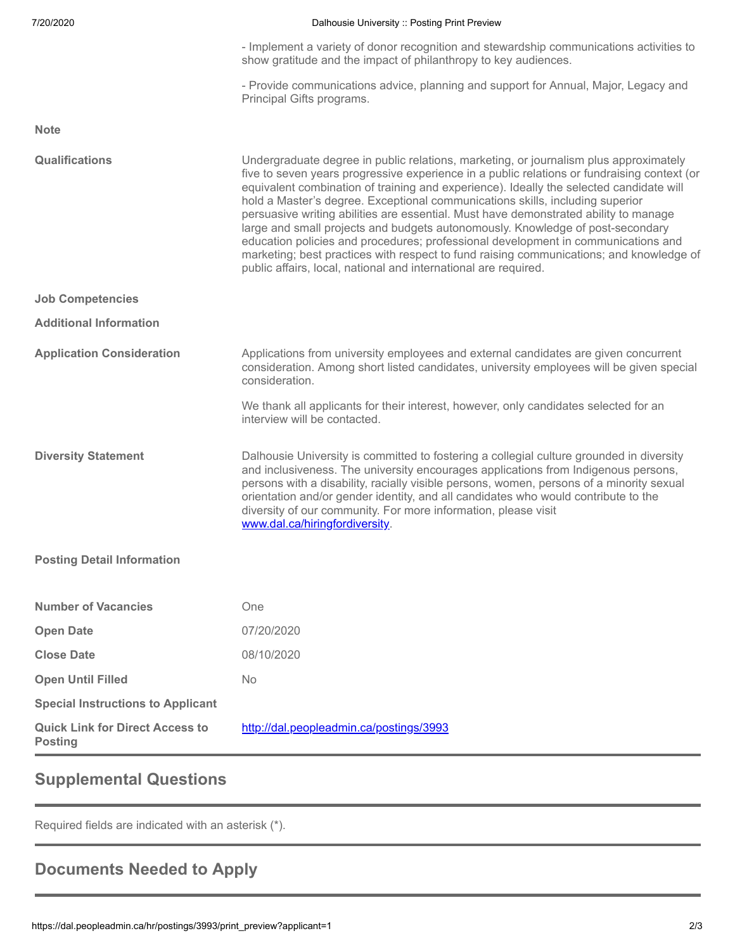#### 7/20/2020 Dalhousie University :: Posting Print Preview

|  |  |  |  |                                                                 |  |  | - Implement a variety of donor recognition and stewardship communications activities to |  |
|--|--|--|--|-----------------------------------------------------------------|--|--|-----------------------------------------------------------------------------------------|--|
|  |  |  |  | show gratitude and the impact of philanthropy to key audiences. |  |  |                                                                                         |  |

- Provide communications advice, planning and support for Annual, Major, Legacy and Principal Gifts programs.

**Note**

**Special Instructions to Applicant Quick Link for Direct Access to Posting**

**Open Until Filled** No

<http://dal.peopleadmin.ca/postings/3993>

## **Supplemental Questions**

Required fields are indicated with an asterisk (\*).

# **Documents Needed to Apply**